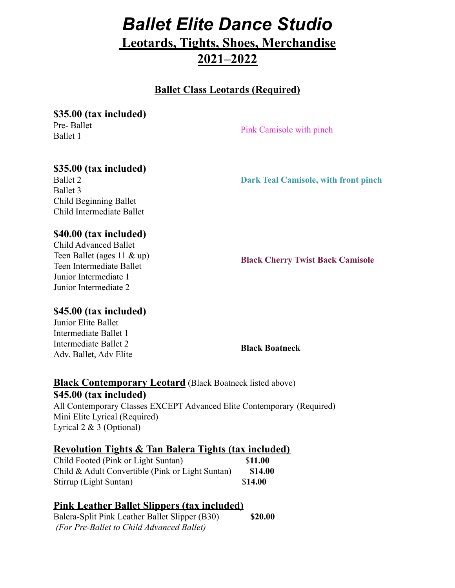# *Ballet Elite Dance Studio*

# **Leotards, Tights, Shoes, Merchandise 2021–2022**

## **Ballet Class Leotards (Required)**

**\$35.00 (tax included)** Pre- Ballet

Ballet 1

Pink Camisole with pinch

# **\$35.00 (tax included)**

Ballet 2 Ballet 3 Child Beginning Ballet Child Intermediate Ballet

#### **Dark Teal Camisole, with front pinch**

#### **\$40.00 (tax included)**

Child Advanced Ballet Teen Ballet (ages 11 & up) Teen Intermediate Ballet Junior Intermediate 1 Junior Intermediate 2

**Black Cherry Twist Back Camisole**

#### **\$45.00 (tax included)**

Junior Elite Ballet Intermediate Ballet 1 Intermediate Ballet 2 Adv. Ballet, Adv Elite

**Black Boatneck**

#### **Black Contemporary Leotard** (Black Boatneck listed above) **\$45.00 (tax included)** All Contemporary Classes EXCEPT Advanced Elite Contemporary (Required) Mini Elite Lyrical (Required) Lyrical 2 & 3 (Optional)

### **Revolution Tights & Tan Balera Tights (tax included)**

| Child Footed (Pink or Light Suntan)              | \$11.00 |
|--------------------------------------------------|---------|
| Child & Adult Convertible (Pink or Light Suntan) | \$14.00 |
| Stirrup (Light Suntan)                           | \$14.00 |

# **Pink Leather Ballet Slippers (tax included)**

Balera-Split Pink Leather Ballet Slipper (B30) **\$20.00** *(For Pre-Ballet to Child Advanced Ballet)*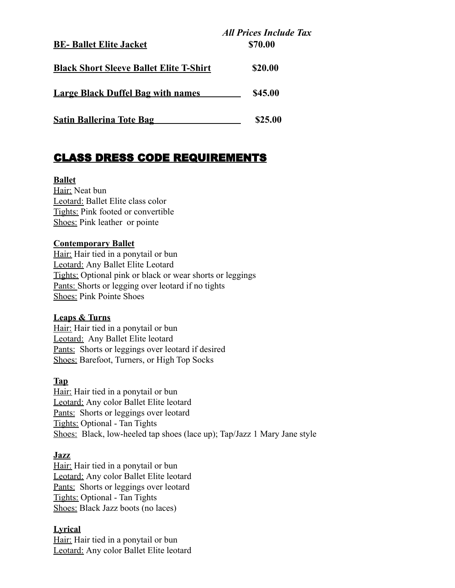| <b>BE-Ballet Elite Jacket</b>                  | <b>All Prices Include Tax</b><br>\$70.00 |
|------------------------------------------------|------------------------------------------|
| <b>Black Short Sleeve Ballet Elite T-Shirt</b> | \$20.00                                  |
| <b>Large Black Duffel Bag with names</b>       | \$45.00                                  |
| <b>Satin Ballerina Tote Bag</b>                | \$25.00                                  |

# CLASS DRESS CODE REQUIREMENTS

#### **Ballet**

Hair: Neat bun Leotard: Ballet Elite class color Tights: Pink footed or convertible Shoes: Pink leather or pointe

#### **Contemporary Ballet**

Hair: Hair tied in a ponytail or bun Leotard: Any Ballet Elite Leotard Tights: Optional pink or black or wear shorts or leggings Pants: Shorts or legging over leotard if no tights Shoes: Pink Pointe Shoes

#### **Leaps & Turns**

Hair: Hair tied in a ponytail or bun Leotard: Any Ballet Elite leotard Pants: Shorts or leggings over leotard if desired Shoes: Barefoot, Turners, or High Top Socks

#### **Tap**

Hair: Hair tied in a ponytail or bun Leotard: Any color Ballet Elite leotard Pants: Shorts or leggings over leotard Tights: Optional - Tan Tights Shoes: Black, low-heeled tap shoes (lace up); Tap/Jazz 1 Mary Jane style

#### **Jazz**

Hair: Hair tied in a ponytail or bun Leotard: Any color Ballet Elite leotard Pants: Shorts or leggings over leotard Tights: Optional - Tan Tights Shoes: Black Jazz boots (no laces)

#### **Lyrical**

Hair: Hair tied in a ponytail or bun Leotard: Any color Ballet Elite leotard